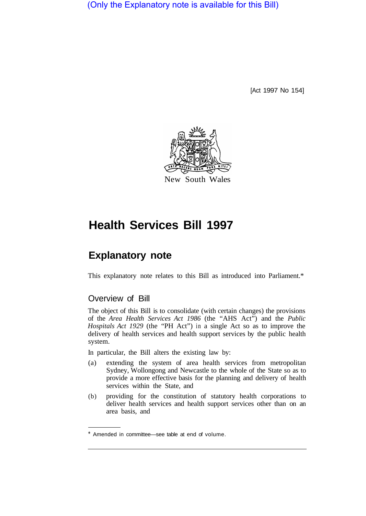(Only the Explanatory note is available for this Bill)

[Act 1997 No 154]



# **Health Services Bill 1997**

## **Explanatory note**

This explanatory note relates to this Bill as introduced into Parliament.\*

## Overview of Bill

The object of this Bill is to consolidate (with certain changes) the provisions of the *Area Health Services Act 1986* (the "AHS Act") and the *Public Hospitals Act 1929* (the "PH Act") in a single Act so as to improve the delivery of health services and health support services by the public health system.

In particular, the Bill alters the existing law by:

- (a) extending the system of area health services from metropolitan Sydney, Wollongong and Newcastle to the whole of the State so as to provide a more effective basis for the planning and delivery of health services within the State, and
- (b) providing for the constitution of statutory health corporations to deliver health services and health support services other than on an area basis, and

<sup>\*</sup> Amended in committee—see table at end of volume.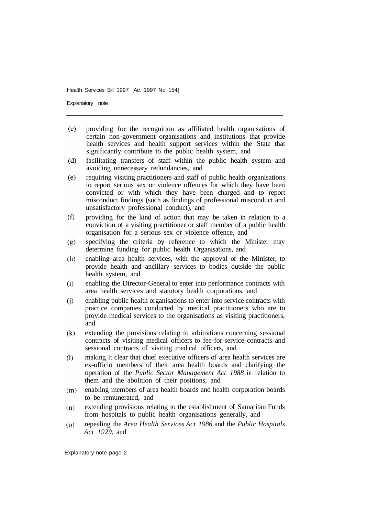Explanatory note

- $(c)$ providing for the recognition as affiliated health organisations of certain non-government organisations and institutions that provide health services and health support services within the State that significantly contribute to the public health system, and
- facilitating transfers of staff within the public health system and  $(d)$ avoiding unnecessary redundancies, and
- $(e)$ requiring visiting practitioners and staff of public health organisations to report serious sex or violence offences for which they have been convicted or with which they have been charged and to report misconduct findings (such as findings of professional misconduct and unsatisfactory professional conduct), and
- $(f)$ providing for the kind of action that may be taken in relation to a conviction of a visiting practitioner or staff member of a public health organisation for a serious sex or violence offence, and
- $(g)$ specifying the criteria by reference to which the Minister may determine funding for public health Organisations, and
- $(h)$ enabling area health services, with the approval of the Minister, to provide health and ancillary services to bodies outside the public health system, and
- $(i)$ enabling the Director-General to enter into performance contracts with area health services and statutory health corporations, and
- enabling public health organisations to enter into service contracts with  $(i)$ practice companies conducted by medical practitioners who are to provide medical services to the organisations as visiting practitioners, and
- extending the provisions relating to arbitrations concerning sessional  $(k)$ contracts of visiting medical officers to fee-for-service contracts and sessional contracts of visiting medical officers, and
- making it clear that chief executive officers of area health services are  $(1)$ ex-officio members of their area health boards and clarifying the operation of the *Public Sector Management Act 1988* in relation to them and the abolition of their positions, and
- enabling members of area health boards and health corporation boards  $(m)$ to be remunerated, and
- extending provisions relating to the establishment of Samaritan Funds  $(n)$ from hospitals to public health organisations generally, and
- repealing the *Area Health Services Act 1986* and the *Public Hospitals*   $(0)$ *Act 1929,* and

Explanatory note page 2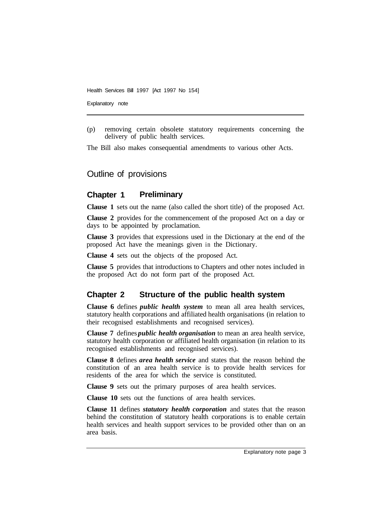Explanatory note

(p) removing certain obsolete statutory requirements concerning the delivery of public health services.

The Bill also makes consequential amendments to various other Acts.

## Outline of provisions

#### **Chapter 1 Preliminary**

**Clause 1** sets out the name (also called the short title) of the proposed Act.

**Clause 2** provides for the commencement of the proposed Act on a day or days to be appointed by proclamation.

**Clause 3** provides that expressions used in the Dictionary at the end of the proposed Act have the meanings given in the Dictionary.

**Clause 4** sets out the objects of the proposed Act.

**Clause 5** provides that introductions to Chapters and other notes included in the proposed Act do not form part of the proposed Act.

### **Chapter 2 Structure of the public health system**

**Clause 6** defines *public health system* to mean all area health services, statutory health corporations and affiliated health organisations (in relation to their recognised establishments and recognised services).

**Clause 7** defines *public health organisation* to mean an area health service, statutory health corporation or affiliated health organisation (in relation to its recognised establishments and recognised services).

**Clause 8** defines *area health service* and states that the reason behind the constitution of an area health service is to provide health services for residents of the area for which the service is constituted.

**Clause 9** sets out the primary purposes of area health services.

**Clause 10** sets out the functions of area health services.

**Clause 11** defines *statutory health corporation* and states that the reason behind the constitution of statutory health corporations is to enable certain health services and health support services to be provided other than on an area basis.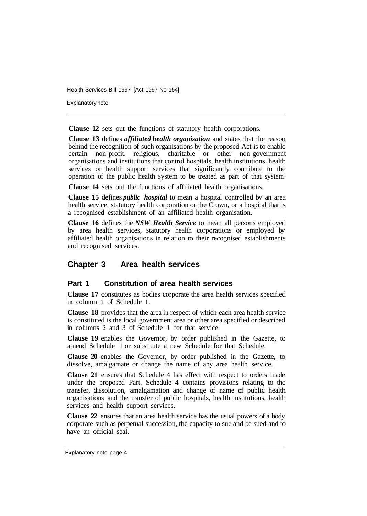Explanatory note

**Clause 12** sets out the functions of statutory health corporations.

**Clause 13** defines *affiliated health organisation* and states that the reason behind the recognition of such organisations by the proposed Act is to enable certain non-profit, religious, charitable or other non-government organisations and institutions that control hospitals, health institutions, health services or health support services that significantly contribute to the operation of the public health system to be treated as part of that system.

**Clause 14** sets out the functions of affiliated health organisations.

**Clause 15** defines *public hospital* to mean a hospital controlled by an area health service, statutory health corporation or the Crown, or a hospital that is a recognised establishment of an affiliated health organisation.

**Clause 16** defines the *NSW Health Service* to mean all persons employed by area health services, statutory health corporations or employed by affiliated health organisations in relation to their recognised establishments and recognised services.

## **Chapter 3 Area health services**

#### **Part 1 Constitution of area health services**

**Clause 17** constitutes as bodies corporate the area health services specified in column **1** of Schedule **1.** 

**Clause 18** provides that the area in respect of which each area health service is constituted is the local government area or other area specified or described in columns 2 and 3 of Schedule 1 for that service.

**Clause 19** enables the Governor, by order published in the Gazette, to amend Schedule 1 or substitute a new Schedule for that Schedule.

**Clause 20** enables the Governor, by order published in the Gazette, to dissolve, amalgamate or change the name of any area health service.

**Clause 21** ensures that Schedule 4 has effect with respect to orders made under the proposed Part. Schedule 4 contains provisions relating to the transfer, dissolution, amalgamation and change of name of public health organisations and the transfer of public hospitals, health institutions, health services and health support services.

**Clause 22** ensures that an area health service has the usual powers of a body corporate such as perpetual succession, the capacity to sue and be sued and to have an official seal.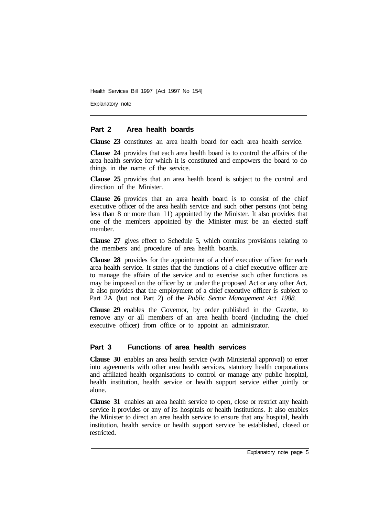Explanatory note

#### **Part 2 Area health boards**

**Clause 23** constitutes an area health board for each area health service.

**Clause 24** provides that each area health board is to control the affairs of the area health service for which it is constituted and empowers the board to do things in the name of the service.

**Clause 25** provides that an area health board is subject to the control and direction of the Minister.

**Clause 26** provides that an area health board is to consist of the chief executive officer of the area health service and such other persons (not being less than 8 or more than 11) appointed by the Minister. It also provides that one of the members appointed by the Minister must be an elected staff member.

**Clause 27** gives effect to Schedule 5, which contains provisions relating to the members and procedure of area health boards.

**Clause 28** provides for the appointment of a chief executive officer for each area health service. It states that the functions of a chief executive officer are to manage the affairs of the service and to exercise such other functions as may be imposed on the officer by or under the proposed Act or any other Act. It also provides that the employment of a chief executive officer is subject to Part 2A (but not Part 2) of the *Public Sector Management Act 1988.* 

**Clause 29** enables the Governor, by order published in the Gazette, to remove any or all members of an area health board (including the chief executive officer) from office or to appoint an administrator.

#### **Part 3 Functions of area health services**

**Clause 30** enables an area health service (with Ministerial approval) to enter into agreements with other area health services, statutory health corporations and affiliated health organisations to control or manage any public hospital, health institution, health service or health support service either jointly or alone.

**Clause 31** enables an area health service to open, close or restrict any health service it provides or any of its hospitals or health institutions. It also enables the Minister to direct an area health service to ensure that any hospital, health institution, health service or health support service be established, closed or restricted.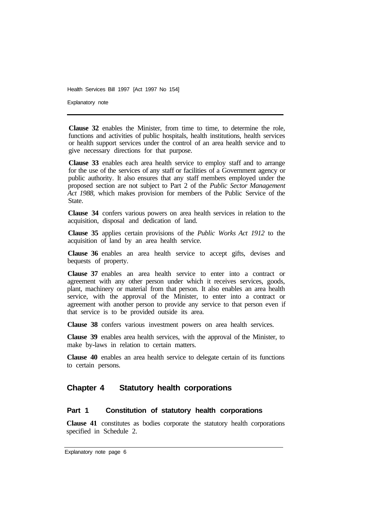Explanatory note

**Clause 32** enables the Minister, from time to time, to determine the role, functions and activities of public hospitals, health institutions, health services or health support services under the control of an area health service and to give necessary directions for that purpose.

**Clause 33** enables each area health service to employ staff and to arrange for the use of the services of any staff or facilities of a Government agency or public authority. It also ensures that any staff members employed under the proposed section are not subject to Part 2 of the *Public Sector Management Act 1988,* which makes provision for members of the Public Service of the State.

**Clause 34** confers various powers on area health services in relation to the acquisition, disposal and dedication of land.

**Clause 35** applies certain provisions of the *Public Works Act 1912* to the acquisition of land by an area health service.

**Clause 36** enables an area health service to accept gifts, devises and bequests of property.

**Clause 37** enables an area health service to enter into a contract or agreement with any other person under which it receives services, goods, plant, machinery or material from that person. It also enables an area health service, with the approval of the Minister, to enter into a contract or agreement with another person to provide any service to that person even if that service is to be provided outside its area.

**Clause 38** confers various investment powers on area health services.

**Clause 39** enables area health services, with the approval of the Minister, to make by-laws in relation to certain matters.

**Clause 40** enables an area health service to delegate certain of its functions to certain persons.

#### **Chapter 4 Statutory health corporations**

#### **Part 1 Constitution of statutory health corporations**

**Clause 41** constitutes as bodies corporate the statutory health corporations specified in Schedule 2.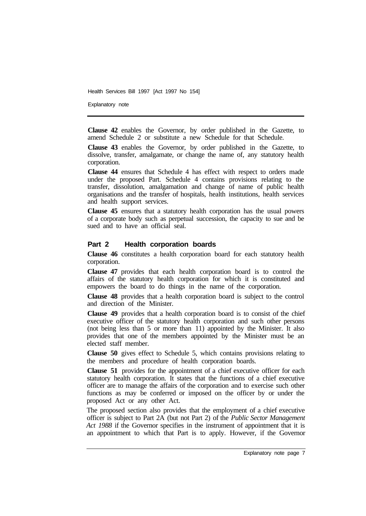Explanatory note

**Clause 42** enables the Governor, by order published in the Gazette, to amend Schedule 2 or substitute a new Schedule for that Schedule.

**Clause 43** enables the Governor, by order published in the Gazette, to dissolve, transfer, amalgamate, or change the name of, any statutory health corporation.

**Clause 44** ensures that Schedule 4 has effect with respect to orders made under the proposed Part. Schedule 4 contains provisions relating to the transfer, dissolution, amalgamation and change of name of public health organisations and the transfer of hospitals, health institutions, health services and health support services.

**Clause 45** ensures that a statutory health corporation has the usual powers of a corporate body such as perpetual succession, the capacity to sue and be sued and to have an official seal.

#### **Part 2 Health corporation boards**

**Clause 46** constitutes a health corporation board for each statutory health corporation.

**Clause 47** provides that each health corporation board is to control the affairs of the statutory health corporation for which it is constituted and empowers the board to do things in the name of the corporation.

**Clause 48** provides that a health corporation board is subject to the control and direction of the Minister.

**Clause 49** provides that a health corporation board is to consist of the chief executive officer of the statutory health corporation and such other persons (not being less than 5 or more than 11) appointed by the Minister. It also provides that one of the members appointed by the Minister must be an elected staff member.

**Clause 50** gives effect to Schedule 5, which contains provisions relating to the members and procedure of health corporation boards.

**Clause 51** provides for the appointment of a chief executive officer for each statutory health corporation. It states that the functions of a chief executive officer are to manage the affairs of the corporation and to exercise such other functions as may be conferred or imposed on the officer by or under the proposed Act or any other Act.

The proposed section also provides that the employment of a chief executive officer is subject to Part 2A (but not Part 2) of the *Public Sector Management Act 1988* if the Governor specifies in the instrument of appointment that it is an appointment to which that Part is to apply. However, if the Governor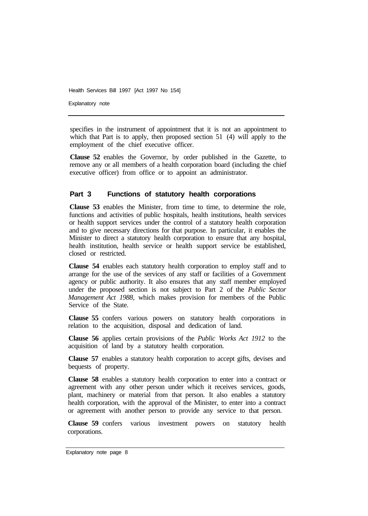Explanatory note

specifies in the instrument of appointment that it is not an appointment to which that Part is to apply, then proposed section 51 (4) will apply to the employment of the chief executive officer.

**Clause 52** enables the Governor, by order published in the Gazette, to remove any or all members of a health corporation board (including the chief executive officer) from office or to appoint an administrator.

#### **Part 3 Functions of statutory health corporations**

**Clause 53** enables the Minister, from time to time, to determine the role, functions and activities of public hospitals, health institutions, health services or health support services under the control of a statutory health corporation and to give necessary directions for that purpose. In particular, it enables the Minister to direct a statutory health corporation to ensure that any hospital, health institution, health service or health support service be established, closed or restricted.

**Clause 54** enables each statutory health corporation to employ staff and to arrange for the use of the services of any staff or facilities of a Government agency or public authority. It also ensures that any staff member employed under the proposed section is not subject to Part 2 of the *Public Sector Management Act 1988,* which makes provision for members of the Public Service of the State.

**Clause 55**  confers various powers on statutory health corporations in relation to the acquisition, disposal and dedication of land.

**Clause 56**  applies certain provisions of the *Public Works Act 1912* to the acquisition of land by a statutory health corporation.

**Clause 57**  enables a statutory health corporation to accept gifts, devises and bequests of property.

**Clause 58** enables a statutory health corporation to enter into a contract or agreement with any other person under which it receives services, goods, plant, machinery or material from that person. It also enables a statutory health corporation, with the approval of the Minister, to enter into a contract or agreement with another person to provide any service to that person.

**Clause 59** confers various investment powers on statutory health corporations.

Explanatory note page 8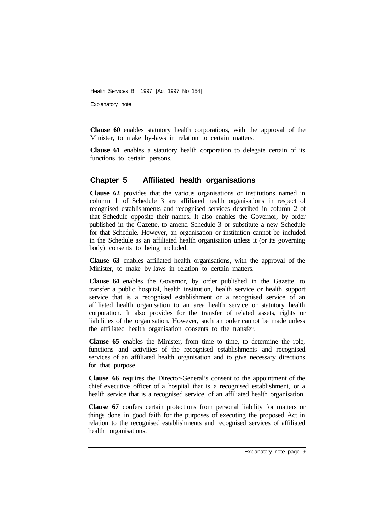Explanatory note

**Clause 60** enables statutory health corporations, with the approval of the Minister, to make by-laws in relation to certain matters.

**Clause 61** enables a statutory health corporation to delegate certain of its functions to certain persons.

## **Chapter 5 Affiliated health organisations**

**Clause 62** provides that the various organisations or institutions named in column 1 of Schedule 3 are affiliated health organisations in respect of recognised establishments and recognised services described in column 2 of that Schedule opposite their names. It also enables the Governor, by order published in the Gazette, to amend Schedule 3 or substitute a new Schedule for that Schedule. However, an organisation or institution cannot be included in the Schedule as an affiliated health organisation unless it (or its governing body) consents to being included.

**Clause 63** enables affiliated health organisations, with the approval of the Minister, to make by-laws in relation to certain matters.

**Clause 64** enables the Governor, by order published in the Gazette, to transfer a public hospital, health institution, health service or health support service that is a recognised establishment or a recognised service of an affiliated health organisation to an area health service or statutory health corporation. It also provides for the transfer of related assets, rights or liabilities of the organisation. However, such an order cannot be made unless the affiliated health organisation consents to the transfer.

**Clause 65** enables the Minister, from time to time, to determine the role, functions and activities of the recognised establishments and recognised services of an affiliated health organisation and to give necessary directions for that purpose.

**Clause 66** requires the Director-General's consent to the appointment of the chief executive officer of a hospital that is a recognised establishment, or a health service that is a recognised service, of an affiliated health organisation.

**Clause 67** confers certain protections from personal liability for matters or things done in good faith for the purposes of executing the proposed Act in relation to the recognised establishments and recognised services of affiliated health organisations.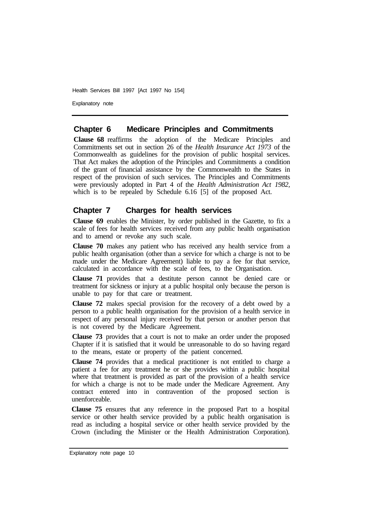Explanatory note

#### **Chapter 6 Medicare Principles and Commitments**

**Clause 68** reaffirms the adoption of the Medicare Principles and Commitments set out in section 26 of the *Health Insurance Act 1973* of the Commonwealth as guidelines for the provision of public hospital services. That Act makes the adoption of the Principles and Commitments a condition of the grant of financial assistance by the Commonwealth to the States in respect of the provision of such services. The Principles and Commitments were previously adopted in Part 4 of the *Health Administration Act 1982,*  which is to be repealed by Schedule 6.16 [5] of the proposed Act.

## **Chapter 7 Charges for health services**

**Clause 69** enables the Minister, by order published in the Gazette, to fix a scale of fees for health services received from any public health organisation and to amend or revoke any such scale.

**Clause 70** makes any patient who has received any health service from a public health organisation (other than a service for which a charge is not to be made under the Medicare Agreement) liable to pay a fee for that service, calculated in accordance with the scale of fees, to the Organisation.

**Clause 71** provides that a destitute person cannot be denied care or treatment for sickness or injury at a public hospital only because the person is unable to pay for that care or treatment.

**Clause 72** makes special provision for the recovery of a debt owed by a person to a public health organisation for the provision of a health service in respect of any personal injury received by that person or another person that is not covered by the Medicare Agreement.

**Clause 73** provides that a court is not to make an order under the proposed Chapter if it is satisfied that it would be unreasonable to do so having regard to the means, estate or property of the patient concerned.

**Clause 74** provides that a medical practitioner is not entitled to charge a patient a fee for any treatment he or she provides within a public hospital where that treatment is provided as part of the provision of a health service for which a charge is not to be made under the Medicare Agreement. Any contract entered into in contravention of the proposed section is unenforceable.

**Clause 75** ensures that any reference in the proposed Part to a hospital service or other health service provided by a public health organisation is read as including a hospital service or other health service provided by the Crown (including the Minister or the Health Administration Corporation).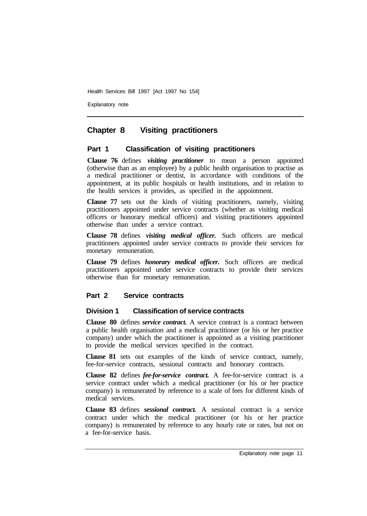Explanatory note

## **Chapter 8 Visiting practitioners**

#### **Part 1 Classification of visiting practitioners**

**Clause 76** defines *visiting practitioner* to mean a person appointed (otherwise than as an employee) by a public health organisation to practise as a medical practitioner or dentist, in accordance with conditions of the appointment, at its public hospitals or health institutions, and in relation to the health services it provides, as specified in the appointment.

**Clause 77** sets out the kinds of visiting practitioners, namely, visiting practitioners appointed under service contracts (whether as visiting medical officers or honorary medical officers) and visiting practitioners appointed otherwise than under a service contract.

**Clause 78** defines *visiting medical officer.* Such officers are medical practitioners appointed under service contracts to provide their services for monetary remuneration.

**Clause 79** defines *honorary medical officer.* Such officers are medical practitioners appointed under service contracts to provide their services otherwise than for monetary remuneration.

#### **Part 2 Service contracts**

#### **Division 1 Classification of service contracts**

**Clause 80** defines *service contract.* A service contract is a contract between a public health organisation and a medical practitioner (or his or her practice company) under which the practitioner is appointed as a visiting practitioner to provide the medical services specified in the contract.

**Clause 81** sets out examples of the kinds of service contract, namely, fee-for-service contracts, sessional contracts and honorary contracts.

**Clause 82** defines *fee-for-service contract.* A fee-for-service contract is a service contract under which a medical practitioner (or his or her practice company) is remunerated by reference to a scale of fees for different kinds of medical services.

**Clause 83** defines *sessional contract.* A sessional contract is a service contract under which the medical practitioner (or his or her practice company) is remunerated by reference to any hourly rate or rates, but not on a fee-for-service basis.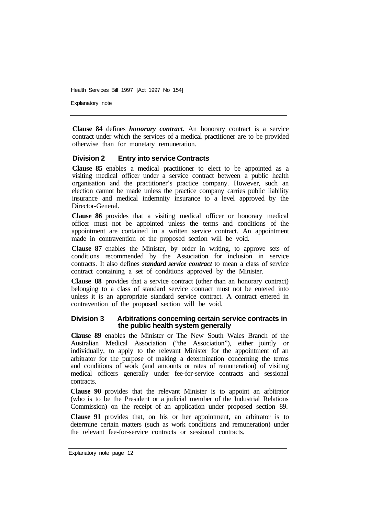Explanatory note

**Clause 84** defines *honorary contract.* An honorary contract is a service contract under which the services of a medical practitioner are to be provided otherwise than for monetary remuneration.

#### **Division 2 Entry into service Contracts**

**Clause 85** enables a medical practitioner to elect to be appointed as a visiting medical officer under a service contract between a public health organisation and the practitioner's practice company. However, such an election cannot be made unless the practice company carries public liability insurance and medical indemnity insurance to a level approved by the Director-General.

**Clause 86** provides that a visiting medical officer or honorary medical officer must not be appointed unless the terms and conditions of the appointment are contained in a written service contract. An appointment made in contravention of the proposed section will be void.

**Clause 87** enables the Minister, by order in writing, to approve sets of conditions recommended by the Association for inclusion in service contracts. It also defines *standard service contract* to mean a class of service contract containing a set of conditions approved by the Minister.

**Clause 88** provides that a service contract (other than an honorary contract) belonging to a class of standard service contract must not be entered into unless it is an appropriate standard service contract. A contract entered in contravention of the proposed section will be void.

#### **Division 3 Arbitrations concerning certain service contracts in the public health system generally**

**Clause 89** enables the Minister or The New South Wales Branch of the Australian Medical Association ("the Association"), either jointly or individually, to apply to the relevant Minister for the appointment of an arbitrator for the purpose of making a determination concerning the terms and conditions of work (and amounts or rates of remuneration) of visiting medical officers generally under fee-for-service contracts and sessional contracts.

**Clause 90** provides that the relevant Minister is to appoint an arbitrator (who is to be the President or a judicial member of the Industrial Relations Commission) on the receipt of an application under proposed section 89.

**Clause 91** provides that, on his or her appointment, an arbitrator is to determine certain matters (such as work conditions and remuneration) under the relevant fee-for-service contracts or sessional contracts.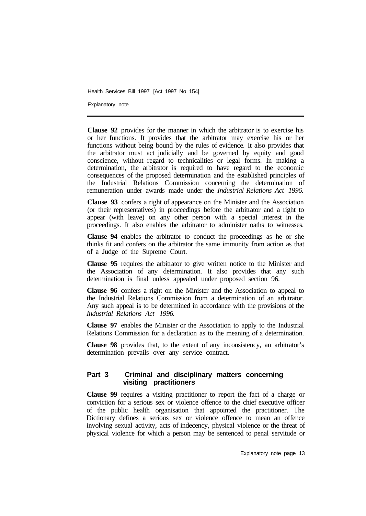Explanatory note

**Clause 92** provides for the manner in which the arbitrator is to exercise his or her functions. It provides that the arbitrator may exercise his or her functions without being bound by the rules of evidence. It also provides that the arbitrator must act judicially and be governed by equity and good conscience, without regard to technicalities or legal forms. In making a determination, the arbitrator is required to have regard to the economic consequences of the proposed determination and the established principles of the Industrial Relations Commission concerning the determination of remuneration under awards made under the *Industrial Relations Act 1996.* 

**Clause 93** confers a right of appearance on the Minister and the Association (or their representatives) in proceedings before the arbitrator and a right to appear (with leave) on any other person with a special interest in the proceedings. It also enables the arbitrator to administer oaths to witnesses.

**Clause 94** enables the arbitrator to conduct the proceedings as he or she thinks fit and confers on the arbitrator the same immunity from action as that of a Judge of the Supreme Court.

**Clause 95** requires the arbitrator to give written notice to the Minister and the Association of any determination. It also provides that any such determination is final unless appealed under proposed section 96.

**Clause 96** confers a right on the Minister and the Association to appeal to the Industrial Relations Commission from a determination of an arbitrator. Any such appeal is to be determined in accordance with the provisions of the *Industrial Relations Act 1996.* 

**Clause 97** enables the Minister or the Association to apply to the Industrial Relations Commission for a declaration as to the meaning of a determination.

**Clause 98** provides that, to the extent of any inconsistency, an arbitrator's determination prevails over any service contract.

## **Part 3 Criminal and disciplinary matters concerning visiting practitioners**

**Clause 99** requires a visiting practitioner to report the fact of a charge or conviction for a serious sex or violence offence to the chief executive officer of the public health organisation that appointed the practitioner. The Dictionary defines a serious sex or violence offence to mean an offence involving sexual activity, acts of indecency, physical violence or the threat of physical violence for which a person may be sentenced to penal servitude or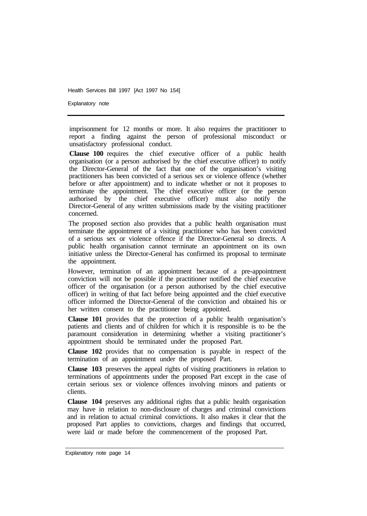Explanatory note

imprisonment for 12 months or more. It also requires the practitioner to report a finding against the person of professional misconduct or unsatisfactory professional conduct.

**Clause 100** requires the chief executive officer of a public health organisation (or a person authorised by the chief executive officer) to notify the Director-General of the fact that one of the organisation's visiting practitioners has been convicted of a serious sex or violence offence (whether before or after appointment) and to indicate whether or not it proposes to terminate the appointment. The chief executive officer (or the person authorised by the chief executive officer) must also notify the Director-General of any written submissions made by the visiting practitioner concerned.

The proposed section also provides that a public health organisation must terminate the appointment of a visiting practitioner who has been convicted of a serious sex or violence offence if the Director-General so directs. A public health organisation cannot terminate an appointment on its own initiative unless the Director-General has confirmed its proposal to terminate the appointment.

However, termination of an appointment because of a pre-appointment conviction will not be possible if the practitioner notified the chief executive officer of the organisation (or a person authorised by the chief executive officer) in writing of that fact before being appointed and the chief executive officer informed the Director-General of the conviction and obtained his or her written consent to the practitioner being appointed.

**Clause 101** provides that the protection of a public health organisation's patients and clients and of children for which it is responsible is to be the paramount consideration in determining whether a visiting practitioner's appointment should be terminated under the proposed Part.

**Clause 102** provides that no compensation is payable in respect of the termination of an appointment under the proposed Part.

**Clause 103** preserves the appeal rights of visiting practitioners in relation to terminations of appointments under the proposed Part except in the case of certain serious sex or violence offences involving minors and patients or clients.

**Clause 104** preserves any additional rights that a public health organisation may have in relation to non-disclosure of charges and criminal convictions and in relation to actual criminal convictions. It also makes it clear that the proposed Part applies to convictions, charges and findings that occurred, were laid or made before the commencement of the proposed Part.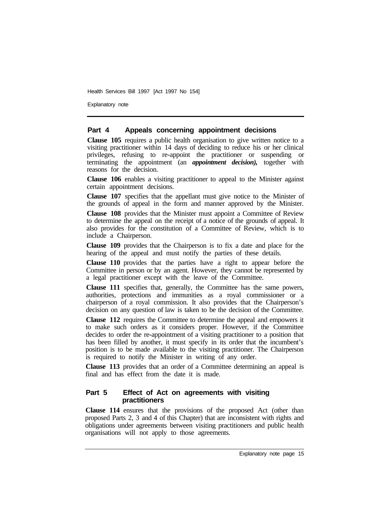Explanatory note

#### **Part 4 Appeals concerning appointment decisions**

**Clause 105** requires a public health organisation to give written notice to a visiting practitioner within 14 days of deciding to reduce his or her clinical privileges, refusing to re-appoint the practitioner or suspending or terminating the appointment (an *appointment decision),* together with reasons for the decision.

**Clause 106** enables a visiting practitioner to appeal to the Minister against certain appointment decisions.

**Clause 107** specifies that the appellant must give notice to the Minister of the grounds of appeal in the form and manner approved by the Minister.

**Clause 108** provides that the Minister must appoint a Committee of Review to determine the appeal on the receipt of a notice of the grounds of appeal. It also provides for the constitution of a Committee of Review, which is to include a Chairperson.

**Clause 109** provides that the Chairperson is to fix a date and place for the hearing of the appeal and must notify the parties of these details.

**Clause 110** provides that the parties have a right to appear before the Committee in person or by an agent. However, they cannot be represented by a legal practitioner except with the leave of the Committee.

**Clause 111** specifies that, generally, the Committee has the same powers, authorities, protections and immunities as a royal commissioner or a chairperson of a royal commission. It also provides that the Chairperson's decision on any question of law is taken to be the decision of the Committee.

**Clause 112** requires the Committee to determine the appeal and empowers it to make such orders as it considers proper. However, if the Committee decides to order the re-appointment of a visiting practitioner to a position that has been filled by another, it must specify in its order that the incumbent's position is to be made available to the visiting practitioner. The Chairperson is required to notify the Minister in writing of any order.

**Clause 113** provides that an order of a Committee determining an appeal is final and has effect from the date it is made.

#### **Part 5 Effect of Act on agreements with visiting practitioners**

**Clause 114** ensures that the provisions of the proposed Act (other than proposed Parts 2, 3 and 4 of this Chapter) that are inconsistent with rights and obligations under agreements between visiting practitioners and public health organisations will not apply to those agreements.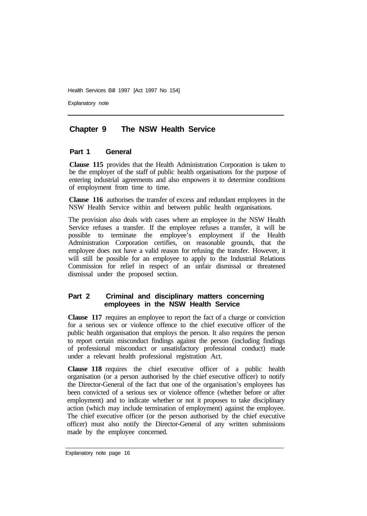Explanatory note

## **Chapter 9 The NSW Health Service**

#### **Part 1 General**

**Clause 115** provides that the Health Administration Corporation is taken to be the employer of the staff of public health organisations for the purpose of entering industrial agreements and also empowers it to determine conditions of employment from time to time.

**Clause 116** authorises the transfer of excess and redundant employees in the NSW Health Service within and between public health organisations.

The provision also deals with cases where an employee in the NSW Health Service refuses a transfer. If the employee refuses a transfer, it will be possible to terminate the employee's employment if the Health Administration Corporation certifies, on reasonable grounds, that the employee does not have a valid reason for refusing the transfer. However, it will still be possible for an employee to apply to the Industrial Relations Commission for relief in respect of an unfair dismissal or threatened dismissal under the proposed section.

## **Part 2 Criminal and disciplinary matters concerning employees in the NSW Health Service**

**Clause 117** requires an employee to report the fact of a charge or conviction for a serious sex or violence offence to the chief executive officer of the public health organisation that employs the person. It also requires the person to report certain misconduct findings against the person (including findings of professional misconduct or unsatisfactory professional conduct) made under a relevant health professional registration Act.

**Clause 118** requires the chief executive officer of a public health organisation (or a person authorised by the chief executive officer) to notify the Director-General of the fact that one of the organisation's employees has been convicted of a serious sex or violence offence (whether before or after employment) and to indicate whether or not it proposes to take disciplinary action (which may include termination of employment) against the employee. The chief executive officer (or the person authorised by the chief executive officer) must also notify the Director-General of any written submissions made by the employee concerned.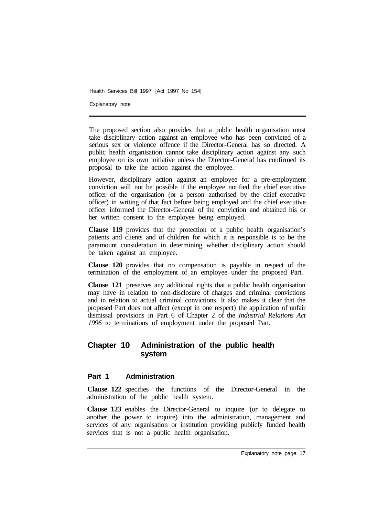Explanatory note

The proposed section also provides that a public health organisation must take disciplinary action against an employee who has been convicted of a serious sex or violence offence if the Director-General has so directed. A public health organisation cannot take disciplinary action against any such employee on its own initiative unless the Director-General has confirmed its proposal to take the action against the employee.

However, disciplinary action against an employee for a pre-employment conviction will not be possible if the employee notified the chief executive officer of the organisation (or a person authorised by the chief executive officer) in writing of that fact before being employed and the chief executive officer informed the Director-General of the conviction and obtained his or her written consent to the employee being employed.

**Clause 119** provides that the protection of a public health organisation's patients and clients and of children for which it is responsible is to be the paramount consideration in determining whether disciplinary action should be taken against an employee.

**Clause 120** provides that no compensation is payable in respect of the termination of the employment of an employee under the proposed Part.

**Clause 121** preserves any additional rights that a public health organisation may have in relation to non-disclosure of charges and criminal convictions and in relation to actual criminal convictions. It also makes it clear that the proposed Part does not affect (except in one respect) the application of unfair dismissal provisions in Part 6 of Chapter 2 of the *Industrial Relations Act 1996* to terminations of employment under the proposed Part.

## **Chapter 10 Administration of the public health system**

#### **Part 1 Administration**

**Clause 122** specifies the functions of the Director-General in the administration of the public health system.

**Clause 123** enables the Director-General to inquire (or to delegate to another the power to inquire) into the administration, management and services of any organisation or institution providing publicly funded health services that is not a public health organisation.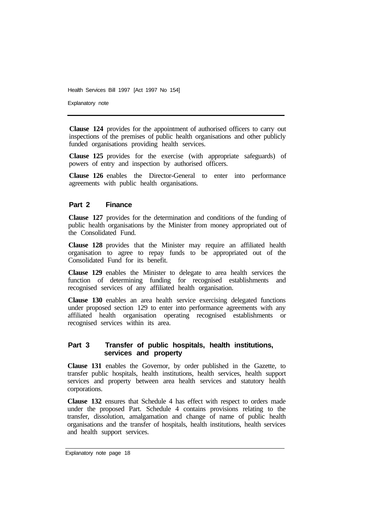Explanatory note

**Clause 124** provides for the appointment of authorised officers to carry out inspections of the premises of public health organisations and other publicly funded organisations providing health services.

**Clause 125** provides for the exercise (with appropriate safeguards) of powers of entry and inspection by authorised officers.

**Clause 126** enables the Director-General to enter into performance agreements with public health organisations.

#### **Part 2 Finance**

**Clause 127** provides for the determination and conditions of the funding of public health organisations by the Minister from money appropriated out of the Consolidated Fund.

**Clause 128** provides that the Minister may require an affiliated health organisation to agree to repay funds to be appropriated out of the Consolidated Fund for its benefit.

**Clause 129** enables the Minister to delegate to area health services the function of determining funding for recognised establishments and recognised services of any affiliated health organisation.

**Clause 130** enables an area health service exercising delegated functions under proposed section 129 to enter into performance agreements with any affiliated health organisation operating recognised establishments or recognised services within its area.

#### **Part 3 Transfer of public hospitals, health institutions, services and property**

**Clause 131** enables the Governor, by order published in the Gazette, to transfer public hospitals, health institutions, health services, health support services and property between area health services and statutory health corporations.

**Clause 132** ensures that Schedule 4 has effect with respect to orders made under the proposed Part. Schedule 4 contains provisions relating to the transfer, dissolution, amalgamation and change of name of public health organisations and the transfer of hospitals, health institutions, health services and health support services.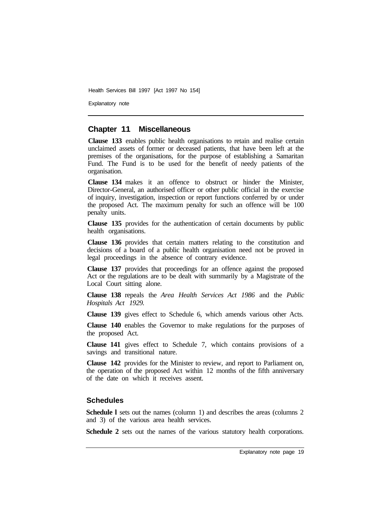Explanatory note

#### **Chapter 11 Miscellaneous**

**Clause 133** enables public health organisations to retain and realise certain unclaimed assets of former or deceased patients, that have been left at the premises of the organisations, for the purpose of establishing a Samaritan Fund. The Fund is to be used for the benefit of needy patients of the organisation.

**Clause 134** makes it an offence to obstruct or hinder the Minister, Director-General, an authorised officer or other public official in the exercise of inquiry, investigation, inspection or report functions conferred by or under the proposed Act. The maximum penalty for such an offence will be 100 penalty units.

**Clause 135** provides for the authentication of certain documents by public health organisations.

**Clause 136** provides that certain matters relating to the constitution and decisions of a board of a public health organisation need not be proved in legal proceedings in the absence of contrary evidence.

**Clause 137** provides that proceedings for an offence against the proposed Act or the regulations are to be dealt with summarily by a Magistrate of the Local Court sitting alone.

**Clause 138** repeals the *Area Health Services Act 1986* and the *Public Hospitals Act 1929.* 

**Clause 139** gives effect to Schedule 6, which amends various other Acts.

**Clause 140** enables the Governor to make regulations for the purposes of the proposed Act.

**Clause 141** gives effect to Schedule 7, which contains provisions of a savings and transitional nature.

**Clause 142** provides for the Minister to review, and report to Parliament on, the operation of the proposed Act within 12 months of the fifth anniversary of the date on which it receives assent.

#### **Schedules**

**Schedule 1** sets out the names (column 1) and describes the areas (columns 2) and 3) of the various area health services.

**Schedule 2** sets out the names of the various statutory health corporations.